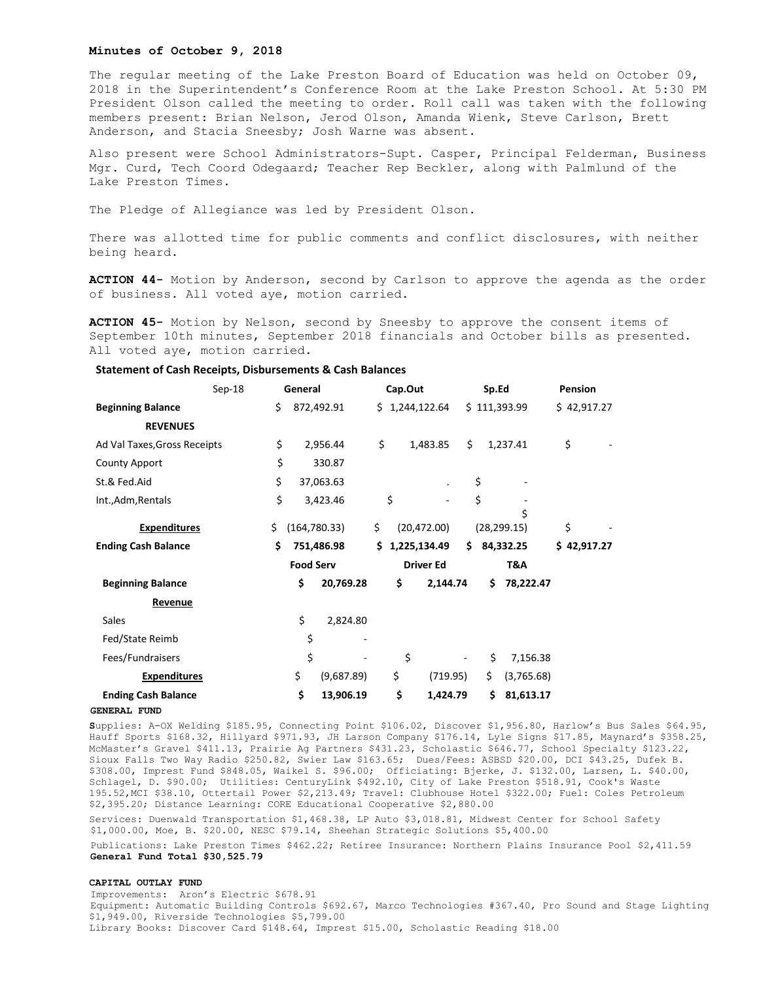## **Minutes of October 9, 2018**

The regular meeting of the Lake Preston Board of Education was held on October 09, 2018 in the Superintendent's Conference Room at the Lake Preston School. At 5:30 PM President Olson called the meeting to order. Roll call was taken with the following members present: Brian Nelson, Jerod Olson, Amanda Wienk, Steve Carlson, Brett Anderson, and Stacia Sneesby; Josh Warne was absent.

Also present were School Administrators-Supt. Casper, Principal Felderman, Business Mgr. Curd, Tech Coord Odegaard; Teacher Rep Beckler, along with Palmlund of the Lake Preston Times.

The Pledge of Allegiance was led by President Olson.

There was allotted time for public comments and conflict disclosures, with neither being heard.

**ACTION 44-** Motion by Anderson, second by Carlson to approve the agenda as the order of business. All voted aye, motion carried.

**ACTION 45-** Motion by Nelson, second by Sneesby to approve the consent items of September 10th minutes, September 2018 financials and October bills as presented. All voted aye, motion carried.

# **Statement of Cash Receipts, Disbursements & Cash Balances**

| $Sep-18$                     |    | General          |            |                    | Cap.Out        |                  |              | Sp.Ed |            | <b>Pension</b> |  |
|------------------------------|----|------------------|------------|--------------------|----------------|------------------|--------------|-------|------------|----------------|--|
| <b>Beginning Balance</b>     | \$ | 872,492.91       |            |                    | \$1,244,122.64 |                  | \$111,393.99 |       |            | \$42,917.27    |  |
| <b>REVENUES</b>              |    |                  |            |                    |                |                  |              |       |            |                |  |
| Ad Val Taxes, Gross Receipts | \$ | 2,956.44         |            | \$                 |                | 1,483.85         | \$           |       | 1,237.41   | \$             |  |
| <b>County Apport</b>         | \$ | 330.87           |            |                    |                |                  |              |       |            |                |  |
| St.& Fed.Aid                 | \$ | 37,063.63        |            |                    |                | $\cdot$          | \$           |       |            |                |  |
| Int., Adm, Rentals           | \$ | 3,423.46         |            | \$                 |                |                  | \$           |       |            |                |  |
|                              | \$ |                  |            |                    |                |                  |              |       | Ś          |                |  |
| <b>Expenditures</b>          |    | (164, 780.33)    |            | \$<br>(20, 472.00) |                | (28, 299.15)     |              |       | \$         |                |  |
| <b>Ending Cash Balance</b>   | \$ | 751,486.98       |            | Ś.                 | 1,225,134.49   |                  | \$           |       | 84,332.25  | \$42,917.27    |  |
|                              |    | <b>Food Serv</b> |            |                    |                | <b>Driver Ed</b> |              |       | T&A        |                |  |
| <b>Beginning Balance</b>     |    | \$               | 20,769.28  |                    | \$             | 2,144.74         |              | \$    | 78,222.47  |                |  |
| Revenue                      |    |                  |            |                    |                |                  |              |       |            |                |  |
| Sales                        |    | \$               | 2,824.80   |                    |                |                  |              |       |            |                |  |
| Fed/State Reimb              |    | \$               |            |                    |                |                  |              |       |            |                |  |
| Fees/Fundraisers             |    | \$               |            |                    | \$             |                  |              | \$    | 7,156.38   |                |  |
| <b>Expenditures</b>          |    | \$               | (9,687.89) |                    | \$             | (719.95)         |              | \$    | (3,765.68) |                |  |
| <b>Ending Cash Balance</b>   |    | \$               | 13,906.19  |                    | \$             | 1,424.79         |              | \$    | 81,613.17  |                |  |

#### **GENERAL FUND**

**S**upplies: A-OX Welding \$185.95, Connecting Point \$106.02, Discover \$1,956.80, Harlow's Bus Sales \$64.95, Hauff Sports \$168.32, Hillyard \$971.93, JH Larson Company \$176.14, Lyle Signs \$17.85, Maynard's \$358.25, McMaster's Gravel \$411.13, Prairie Ag Partners \$431.23, Scholastic \$646.77, School Specialty \$123.22, Sioux Falls Two Way Radio \$250.82, Swier Law \$163.65; Dues/Fees: ASBSD \$20.00, DCI \$43.25, Dufek B. \$308.00, Imprest Fund \$848.05, Waikel S. \$96.00; Officiating: Bjerke, J. \$132.00, Larsen, L. \$40.00, Schlagel, D. \$90.00; Utilities: CenturyLink \$492.10, City of Lake Preston \$518.91, Cook's Waste 195.52,MCI \$38.10, Ottertail Power \$2,213.49; Travel: Clubhouse Hotel \$322.00; Fuel: Coles Petroleum \$2,395.20; Distance Learning: CORE Educational Cooperative \$2,880.00

Services: Duenwald Transportation \$1,468.38, LP Auto \$3,018.81, Midwest Center for School Safety \$1,000.00, Moe, B. \$20.00, NESC \$79.14, Sheehan Strategic Solutions \$5,400.00

Publications: Lake Preston Times \$462.22; Retiree Insurance: Northern Plains Insurance Pool \$2,411.59 **General Fund Total \$30,525.79**

### **CAPITAL OUTLAY FUND**

Improvements: Aron's Electric \$678.91 Equipment: Automatic Building Controls \$692.67, Marco Technologies #367.40, Pro Sound and Stage Lighting \$1,949.00, Riverside Technologies \$5,799.00 Library Books: Discover Card \$148.64, Imprest \$15.00, Scholastic Reading \$18.00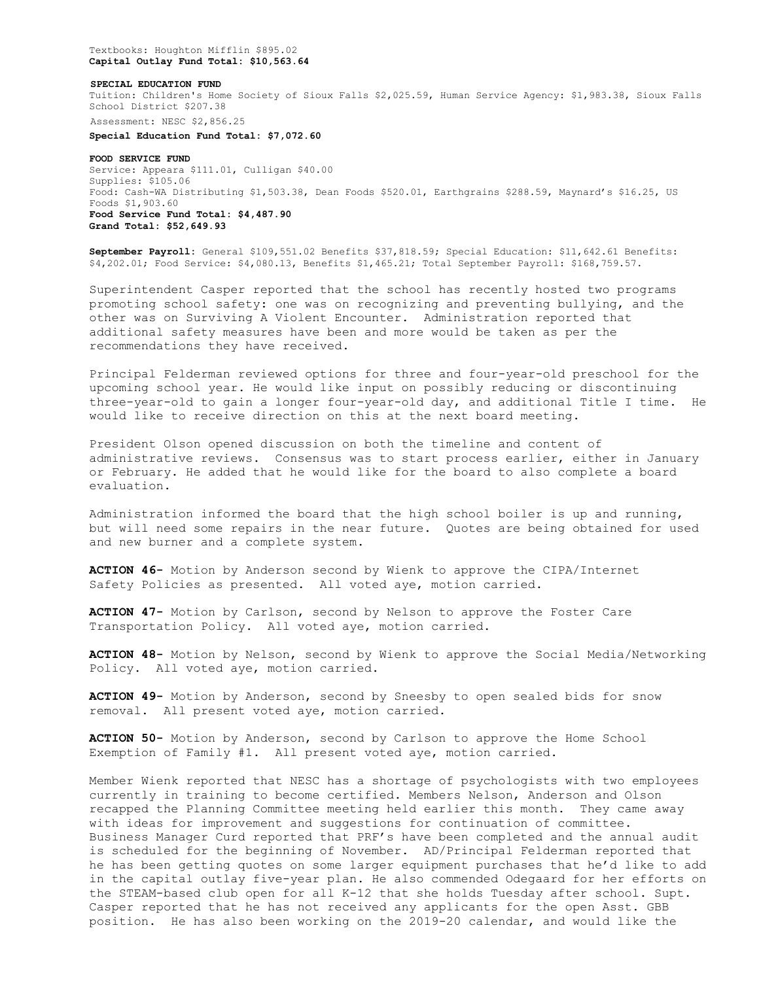Textbooks: Houghton Mifflin \$895.02 **Capital Outlay Fund Total: \$10,563.64**

#### **SPECIAL EDUCATION FUND**

Tuition: Children's Home Society of Sioux Falls \$2,025.59, Human Service Agency: \$1,983.38, Sioux Falls School District \$207.38

Assessment: NESC \$2,856.25

**Special Education Fund Total: \$7,072.60**

**FOOD SERVICE FUND**  Service: Appeara \$111.01, Culligan \$40.00 Supplies: \$105.06 Food: Cash-WA Distributing \$1,503.38, Dean Foods \$520.01, Earthgrains \$288.59, Maynard's \$16.25, US Foods \$1,903.60 **Food Service Fund Total: \$4,487.90 Grand Total: \$52,649.93**

**September Payroll:** General \$109,551.02 Benefits \$37,818.59; Special Education: \$11,642.61 Benefits: \$4,202.01; Food Service: \$4,080.13, Benefits \$1,465.21; Total September Payroll: \$168,759.57.

Superintendent Casper reported that the school has recently hosted two programs promoting school safety: one was on recognizing and preventing bullying, and the other was on Surviving A Violent Encounter. Administration reported that additional safety measures have been and more would be taken as per the recommendations they have received.

Principal Felderman reviewed options for three and four-year-old preschool for the upcoming school year. He would like input on possibly reducing or discontinuing three-year-old to gain a longer four-year-old day, and additional Title I time. He would like to receive direction on this at the next board meeting.

President Olson opened discussion on both the timeline and content of administrative reviews. Consensus was to start process earlier, either in January or February. He added that he would like for the board to also complete a board evaluation.

Administration informed the board that the high school boiler is up and running, but will need some repairs in the near future. Quotes are being obtained for used and new burner and a complete system.

**ACTION 46-** Motion by Anderson second by Wienk to approve the CIPA/Internet Safety Policies as presented. All voted aye, motion carried.

**ACTION 47-** Motion by Carlson, second by Nelson to approve the Foster Care Transportation Policy. All voted aye, motion carried.

**ACTION 48-** Motion by Nelson, second by Wienk to approve the Social Media/Networking Policy. All voted aye, motion carried.

**ACTION 49-** Motion by Anderson, second by Sneesby to open sealed bids for snow removal. All present voted aye, motion carried.

**ACTION 50-** Motion by Anderson, second by Carlson to approve the Home School Exemption of Family #1. All present voted aye, motion carried.

Member Wienk reported that NESC has a shortage of psychologists with two employees currently in training to become certified. Members Nelson, Anderson and Olson recapped the Planning Committee meeting held earlier this month. They came away with ideas for improvement and suggestions for continuation of committee. Business Manager Curd reported that PRF's have been completed and the annual audit is scheduled for the beginning of November. AD/Principal Felderman reported that he has been getting quotes on some larger equipment purchases that he'd like to add in the capital outlay five-year plan. He also commended Odegaard for her efforts on the STEAM-based club open for all K-12 that she holds Tuesday after school. Supt. Casper reported that he has not received any applicants for the open Asst. GBB position. He has also been working on the 2019-20 calendar, and would like the